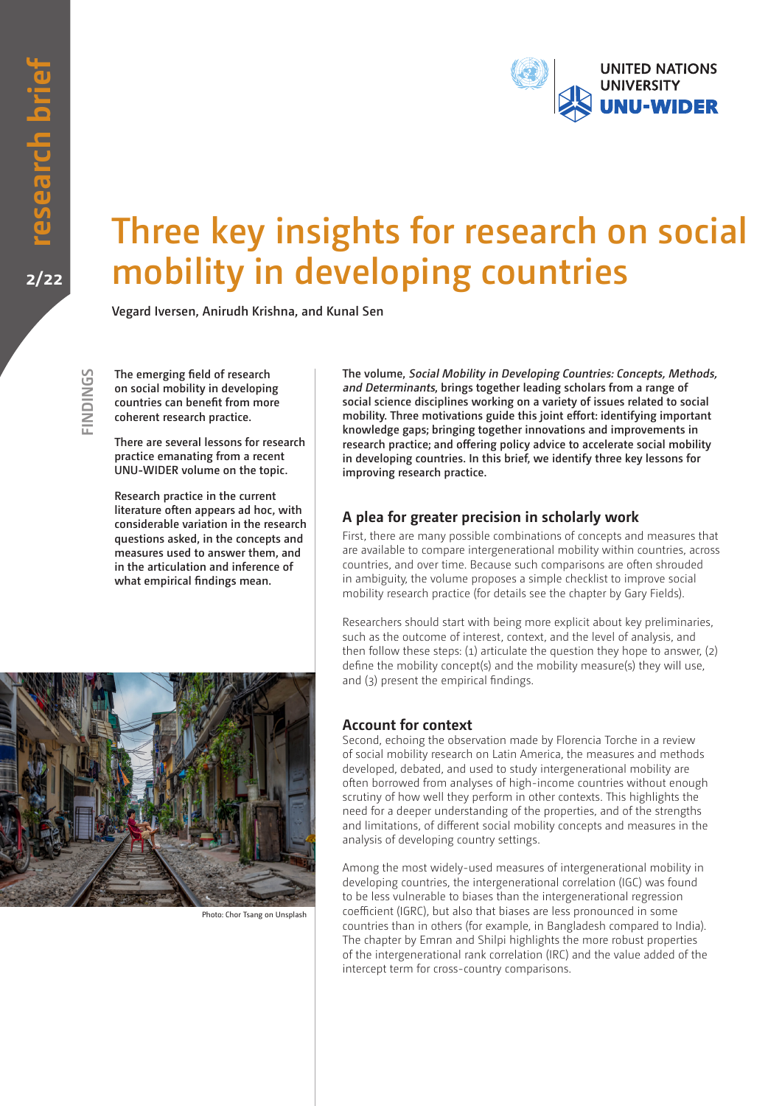**FINDINGS**

FINDINGS



# **Three key insights for research on social mobility in developing countries**

**Vegard Iversen, Anirudh Krishna, and Kunal Sen**

**The emerging field of research on social mobility in developing countries can benefit from more coherent research practice.**

**There are several lessons for research practice emanating from a recent UNU-WIDER volume on the topic.** 

**Research practice in the current literature often appears ad hoc, with considerable variation in the research questions asked, in the concepts and measures used to answer them, and in the articulation and inference of what empirical findings mean.** 

**The volume, Social Mobility in Developing Countries: Concepts, Methods, and Determinants, brings together leading scholars from a range of social science disciplines working on a variety of issues related to social mobility. Three motivations guide this joint effort: identifying important knowledge gaps; bringing together innovations and improvements in research practice; and offering policy advice to accelerate social mobility in developing countries. In this brief, we identify three key lessons for improving research practice.**

## **A plea for greater precision in scholarly work**

First, there are many possible combinations of concepts and measures that are available to compare intergenerational mobility within countries, across countries, and over time. Because such comparisons are often shrouded in ambiguity, the volume proposes a simple checklist to improve social mobility research practice (for details see the chapter by Gary Fields).

Researchers should start with being more explicit about key preliminaries, such as the outcome of interest, context, and the level of analysis, and then follow these steps: (1) articulate the question they hope to answer, (2) define the mobility concept(s) and the mobility measure(s) they will use, and (3) present the empirical findings.

#### **Account for context**

Second, echoing the observation made by Florencia Torche in a review of social mobility research on Latin America, the measures and methods developed, debated, and used to study intergenerational mobility are often borrowed from analyses of high-income countries without enough scrutiny of how well they perform in other contexts. This highlights the need for a deeper understanding of the properties, and of the strengths and limitations, of different social mobility concepts and measures in the analysis of developing country settings.

Among the most widely-used measures of intergenerational mobility in developing countries, the intergenerational correlation (IGC) was found to be less vulnerable to biases than the intergenerational regression coefficient (IGRC), but also that biases are less pronounced in some countries than in others (for example, in Bangladesh compared to India). The chapter by Emran and Shilpi highlights the more robust properties of the intergenerational rank correlation (IRC) and the value added of the intercept term for cross-country comparisons.



Photo: Chor Tsang on Unsplash